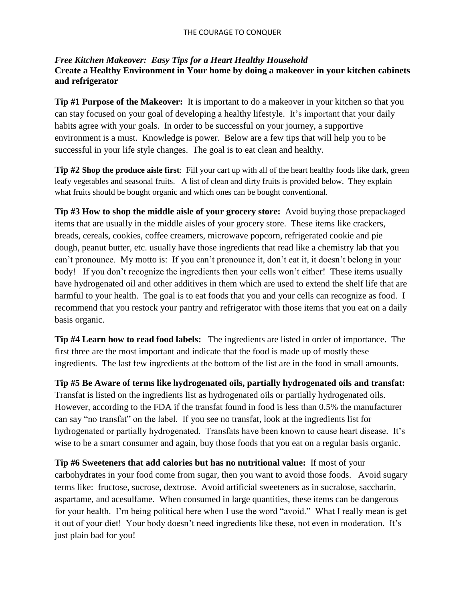## *Free Kitchen Makeover: Easy Tips for a Heart Healthy Household* **Create a Healthy Environment in Your home by doing a makeover in your kitchen cabinets and refrigerator**

**Tip #1 Purpose of the Makeover:** It is important to do a makeover in your kitchen so that you can stay focused on your goal of developing a healthy lifestyle. It's important that your daily habits agree with your goals. In order to be successful on your journey, a supportive environment is a must. Knowledge is power. Below are a few tips that will help you to be successful in your life style changes. The goal is to eat clean and healthy.

**Tip #2 Shop the produce aisle first**: Fill your cart up with all of the heart healthy foods like dark, green leafy vegetables and seasonal fruits. A list of clean and dirty fruits is provided below. They explain what fruits should be bought organic and which ones can be bought conventional.

**Tip #3 How to shop the middle aisle of your grocery store:** Avoid buying those prepackaged items that are usually in the middle aisles of your grocery store. These items like crackers, breads, cereals, cookies, coffee creamers, microwave popcorn, refrigerated cookie and pie dough, peanut butter, etc. usually have those ingredients that read like a chemistry lab that you can't pronounce. My motto is: If you can't pronounce it, don't eat it, it doesn't belong in your body! If you don't recognize the ingredients then your cells won't either! These items usually have hydrogenated oil and other additives in them which are used to extend the shelf life that are harmful to your health. The goal is to eat foods that you and your cells can recognize as food. I recommend that you restock your pantry and refrigerator with those items that you eat on a daily basis organic.

**Tip #4 Learn how to read food labels:** The ingredients are listed in order of importance. The first three are the most important and indicate that the food is made up of mostly these ingredients. The last few ingredients at the bottom of the list are in the food in small amounts.

**Tip #5 Be Aware of terms like hydrogenated oils, partially hydrogenated oils and transfat:** Transfat is listed on the ingredients list as hydrogenated oils or partially hydrogenated oils. However, according to the FDA if the transfat found in food is less than 0.5% the manufacturer can say "no transfat" on the label. If you see no transfat, look at the ingredients list for hydrogenated or partially hydrogenated. Transfats have been known to cause heart disease. It's wise to be a smart consumer and again, buy those foods that you eat on a regular basis organic.

**Tip #6 Sweeteners that add calories but has no nutritional value:** If most of your carbohydrates in your food come from sugar, then you want to avoid those foods. Avoid sugary terms like: fructose, sucrose, dextrose. Avoid artificial sweeteners as in sucralose, saccharin, aspartame, and acesulfame. When consumed in large quantities, these items can be dangerous for your health. I'm being political here when I use the word "avoid." What I really mean is get it out of your diet! Your body doesn't need ingredients like these, not even in moderation. It's just plain bad for you!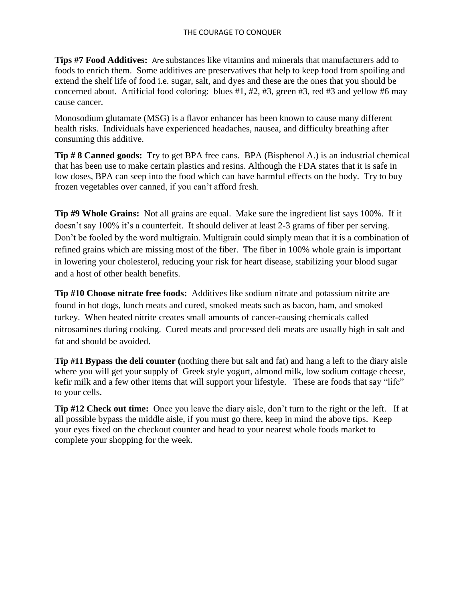**Tips #7 Food Additives:** Are substances like vitamins and minerals that manufacturers add to foods to enrich them. Some additives are preservatives that help to keep food from spoiling and extend the shelf life of food i.e. sugar, salt, and dyes and these are the ones that you should be concerned about. Artificial food coloring: blues #1, #2, #3, green #3, red #3 and yellow #6 may cause cancer.

Monosodium glutamate (MSG) is a flavor enhancer has been known to cause many different health risks. Individuals have experienced headaches, nausea, and difficulty breathing after consuming this additive.

**Tip # 8 Canned goods:** Try to get BPA free cans. BPA (Bisphenol A.) is an industrial chemical that has been use to make certain plastics and resins. Although the FDA states that it is safe in low doses, BPA can seep into the food which can have harmful effects on the body. Try to buy frozen vegetables over canned, if you can't afford fresh.

**Tip #9 Whole Grains:** Not all grains are equal. Make sure the ingredient list says 100%. If it doesn't say 100% it's a counterfeit. It should deliver at least 2-3 grams of fiber per serving. Don't be fooled by the word multigrain. Multigrain could simply mean that it is a combination of refined grains which are missing most of the fiber. The fiber in 100% whole grain is important in lowering your cholesterol, reducing your risk for heart disease, stabilizing your blood sugar and a host of other health benefits.

**Tip #10 Choose nitrate free foods:** Additives like sodium nitrate and potassium nitrite are found in hot dogs, lunch meats and cured, smoked meats such as bacon, ham, and smoked turkey. When heated nitrite creates small amounts of cancer-causing chemicals called nitrosamines during cooking. Cured meats and processed deli meats are usually high in salt and fat and should be avoided.

**Tip #11 Bypass the deli counter (**nothing there but salt and fat) and hang a left to the diary aisle where you will get your supply of Greek style yogurt, almond milk, low sodium cottage cheese, kefir milk and a few other items that will support your lifestyle. These are foods that say "life" to your cells.

**Tip #12 Check out time:** Once you leave the diary aisle, don't turn to the right or the left. If at all possible bypass the middle aisle, if you must go there, keep in mind the above tips. Keep your eyes fixed on the checkout counter and head to your nearest whole foods market to complete your shopping for the week.